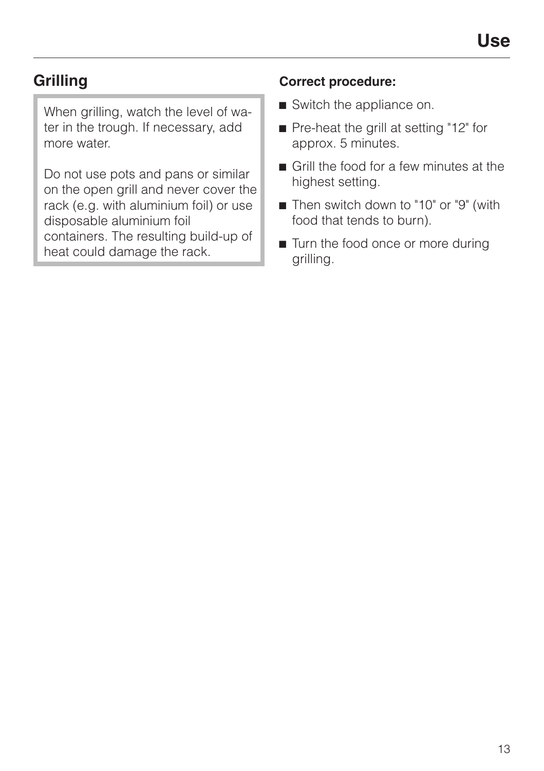## **Grilling**

When grilling, watch the level of water in the trough. If necessary, add more water.

Do not use pots and pans or similar on the open grill and never cover the rack (e.g. with aluminium foil) or use disposable aluminium foil containers. The resulting build-up of heat could damage the rack.

## **Correct procedure:**

- $\blacksquare$  Switch the appliance on.
- Pre-heat the grill at setting "12" for approx. 5 minutes.
- $\blacksquare$  Grill the food for a few minutes at the highest setting.
- Then switch down to "10" or "9" (with food that tends to burn).
- Turn the food once or more during grilling.